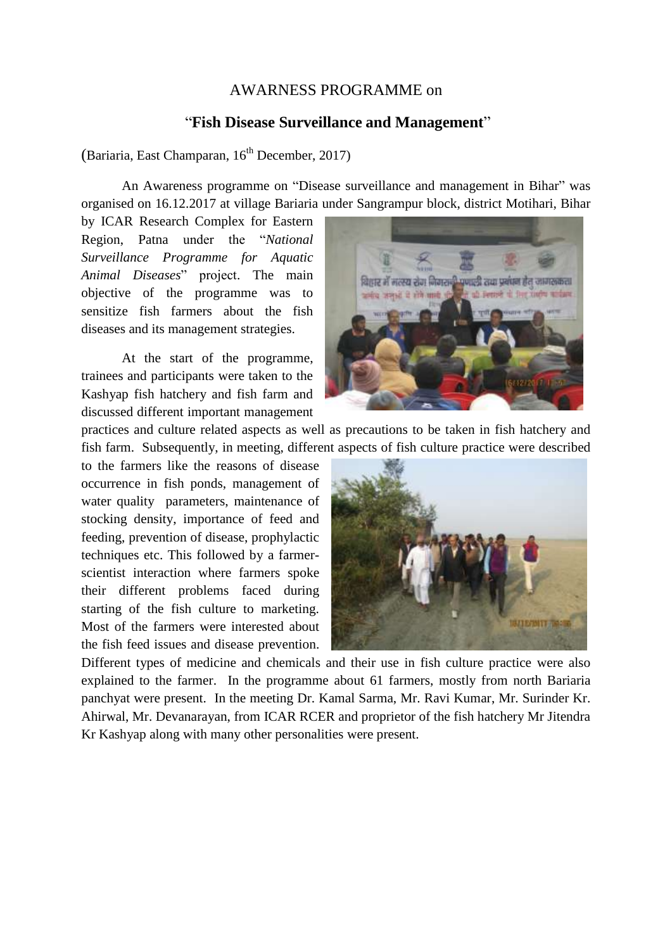## AWARNESS PROGRAMME on

## "**Fish Disease Surveillance and Management**"

(Bariaria, East Champaran,  $16<sup>th</sup>$  December, 2017)

An Awareness programme on "Disease surveillance and management in Bihar" was organised on 16.12.2017 at village Bariaria under Sangrampur block, district Motihari, Bihar

by ICAR Research Complex for Eastern Region, Patna under the "*National Surveillance Programme for Aquatic Animal Diseases*" project. The main objective of the programme was to sensitize fish farmers about the fish diseases and its management strategies.

At the start of the programme, trainees and participants were taken to the Kashyap fish hatchery and fish farm and discussed different important management



practices and culture related aspects as well as precautions to be taken in fish hatchery and fish farm. Subsequently, in meeting, different aspects of fish culture practice were described

to the farmers like the reasons of disease occurrence in fish ponds, management of water quality parameters, maintenance of stocking density, importance of feed and feeding, prevention of disease, prophylactic techniques etc. This followed by a farmerscientist interaction where farmers spoke their different problems faced during starting of the fish culture to marketing. Most of the farmers were interested about the fish feed issues and disease prevention.



Different types of medicine and chemicals and their use in fish culture practice were also explained to the farmer. In the programme about 61 farmers, mostly from north Bariaria panchyat were present. In the meeting Dr. Kamal Sarma, Mr. Ravi Kumar, Mr. Surinder Kr. Ahirwal, Mr. Devanarayan, from ICAR RCER and proprietor of the fish hatchery Mr Jitendra Kr Kashyap along with many other personalities were present.